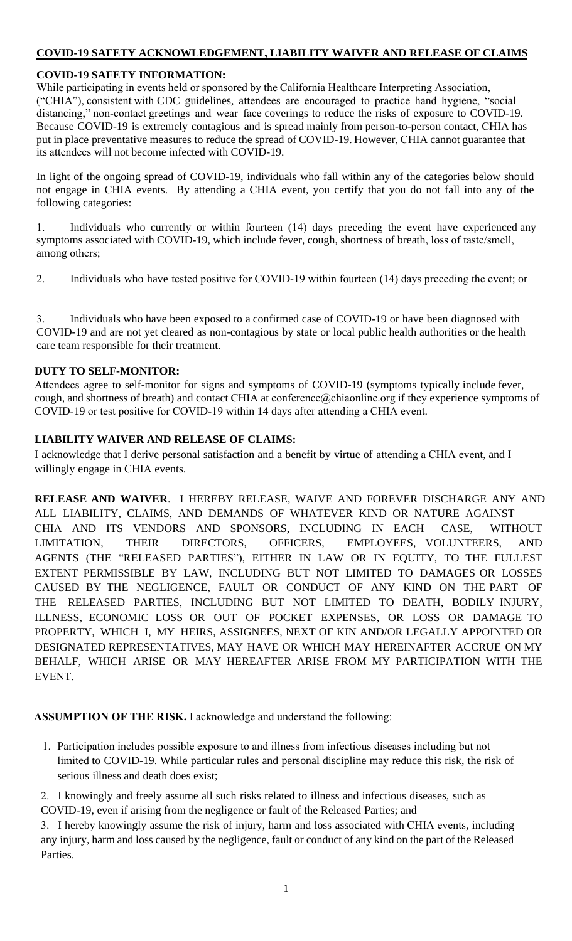# **COVID-19 SAFETY ACKNOWLEDGEMENT, LIABILITY WAIVER AND RELEASE OF CLAIMS**

## **COVID-19 SAFETY INFORMATION:**

While participating in events held or sponsored by the California Healthcare Interpreting Association, ("CHIA"), consistent with CDC guidelines, attendees are encouraged to practice hand hygiene, "social distancing," non-contact greetings and wear face coverings to reduce the risks of exposure to COVID-19. Because COVID-19 is extremely contagious and is spread mainly from person-to-person contact, CHIA has put in place preventative measures to reduce the spread of COVID-19. However, CHIA cannot guarantee that its attendees will not become infected with COVID-19.

In light of the ongoing spread of COVID-19, individuals who fall within any of the categories below should not engage in CHIA events. By attending a CHIA event, you certify that you do not fall into any of the following categories:

1. Individuals who currently or within fourteen (14) days preceding the event have experienced any symptoms associated with COVID-19, which include fever, cough, shortness of breath, loss of taste/smell, among others[;](https://www.cdc.gov/coronavirus/2019-ncov/symptoms-testing/symptoms.html)

2. Individuals who have tested positive for COVID-19 within fourteen (14) days preceding the event; or

3. Individuals who have been exposed to a confirmed case of COVID-19 or have been diagnosed with COVID-19 and are not yet cleared as non-contagious by state or local public health authorities or the health care team responsible for their treatment.

## **DUTY TO SELF-MONITOR:**

Attendees agree to self-monitor for signs and symptoms of COVID-19 (symptoms typically include fever, cough, and shortness of breath) and contact CHIA at conference@chiaonline.org if they experience symptoms of COVID-19 or test positive for COVID-19 within 14 days after attending a CHIA event.

# **LIABILITY WAIVER AND RELEASE OF CLAIMS:**

I acknowledge that I derive personal satisfaction and a benefit by virtue of attending a CHIA event, and I willingly engage in CHIA events.

**RELEASE AND WAIVER**. I HEREBY RELEASE, WAIVE AND FOREVER DISCHARGE ANY AND ALL LIABILITY, CLAIMS, AND DEMANDS OF WHATEVER KIND OR NATURE AGAINST CHIA AND ITS VENDORS AND SPONSORS, INCLUDING IN EACH CASE, WITHOUT LIMITATION, THEIR DIRECTORS, OFFICERS, EMPLOYEES, VOLUNTEERS, AND AGENTS (THE "RELEASED PARTIES"), EITHER IN LAW OR IN EQUITY, TO THE FULLEST EXTENT PERMISSIBLE BY LAW, INCLUDING BUT NOT LIMITED TO DAMAGES OR LOSSES CAUSED BY THE NEGLIGENCE, FAULT OR CONDUCT OF ANY KIND ON THE PART OF THE RELEASED PARTIES, INCLUDING BUT NOT LIMITED TO DEATH, BODILY INJURY, ILLNESS, ECONOMIC LOSS OR OUT OF POCKET EXPENSES, OR LOSS OR DAMAGE TO PROPERTY, WHICH I, MY HEIRS, ASSIGNEES, NEXT OF KIN AND/OR LEGALLY APPOINTED OR DESIGNATED REPRESENTATIVES, MAY HAVE OR WHICH MAY HEREINAFTER ACCRUE ON MY BEHALF, WHICH ARISE OR MAY HEREAFTER ARISE FROM MY PARTICIPATION WITH THE EVENT.

# **ASSUMPTION OF THE RISK.** I acknowledge and understand the following:

1. Participation includes possible exposure to and illness from infectious diseases including but not limited to COVID-19. While particular rules and personal discipline may reduce this risk, the risk of serious illness and death does exist;

2. I knowingly and freely assume all such risks related to illness and infectious diseases, such as COVID-19, even if arising from the negligence or fault of the Released Parties; and

3. I hereby knowingly assume the risk of injury, harm and loss associated with CHIA events, including any injury, harm and loss caused by the negligence, fault or conduct of any kind on the part of the Released Parties.